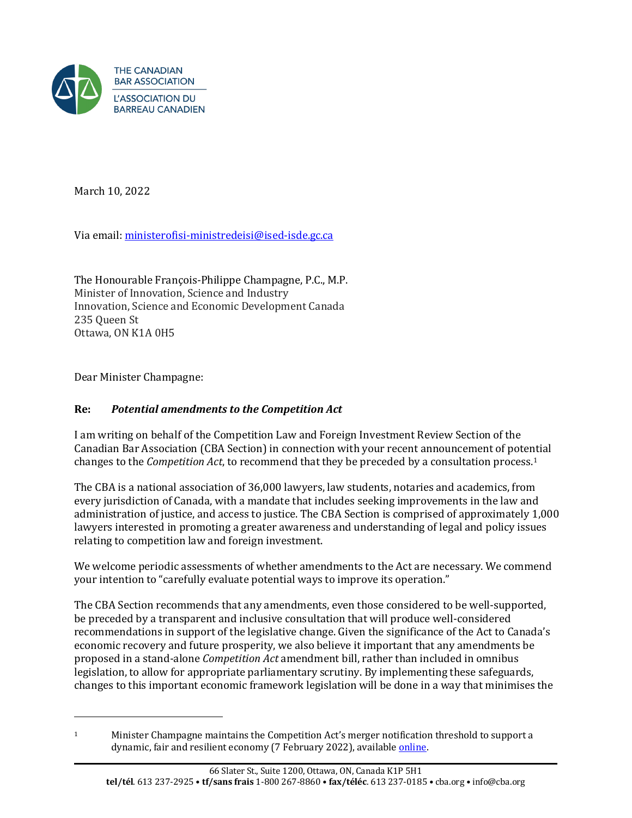

March 10, 2022

Via email: ministerofisi-ministredeisi@ised-isde.gc.ca

The Honourable François-Philippe Champagne, P.C., M.P. Minister of Innovation, Science and Industry Innovation, Science and Economic Development Canada 235 Queen St Ottawa, ON K1A 0H5

Dear Minister Champagne:

## **Re:** *Potential amendments to the Competition Act*

I am writing on behalf of the Competition Law and Foreign Investment Review Section of the Canadian Bar Association (CBA Section) in connection with your recent announcement of potential changes to the *Competition Act*, to recommend that they be preceded by a consultation process.1

The CBA is a national association of 36,000 lawyers, law students, notaries and academics, from every jurisdiction of Canada, with a mandate that includes seeking improvements in the law and administration of justice, and access to justice. The CBA Section is comprised of approximately 1,000 lawyers interested in promoting a greater awareness and understanding of legal and policy issues relating to competition law and foreign investment.

We welcome periodic assessments of whether amendments to the Act are necessary. We commend your intention to "carefully evaluate potential ways to improve its operation."

The CBA Section recommends that any amendments, even those considered to be well-supported, be preceded by a transparent and inclusive consultation that will produce well-considered recommendations in support of the legislative change. Given the significance of the Act to Canada's economic recovery and future prosperity, we also believe it important that any amendments be proposed in a stand-alone *Competition Act* amendment bill, rather than included in omnibus legislation, to allow for appropriate parliamentary scrutiny. By implementing these safeguards, changes to this important economic framework legislation will be done in a way that minimises the

<sup>1</sup> Minister Champagne maintains the Competition Act's merger notification threshold to support a dynamic, fair and resilient economy (7 February 2022), availabl[e online.](https://www.canada.ca/en/innovation-science-economic-development/news/2022/02/minister-champagne-maintains-the-competition-acts-merger-notification-threshold-to-support-a-dynamic-fair-and-resilient-economy.html)